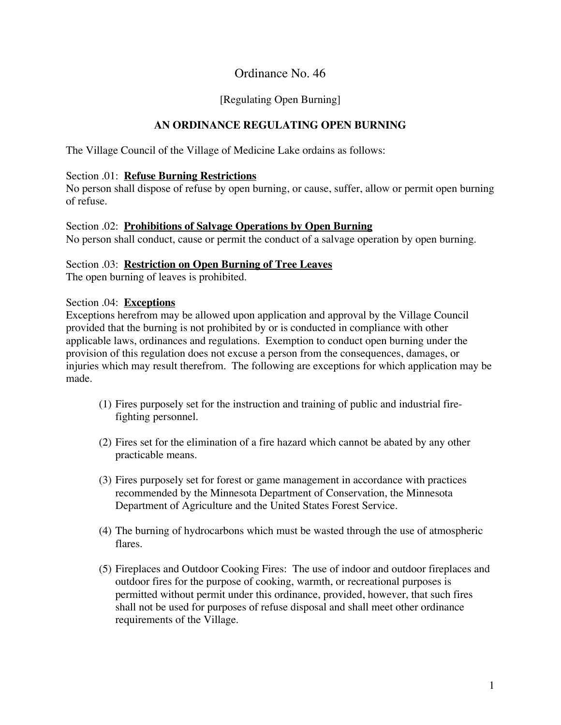## Ordinance No. 46

## [Regulating Open Burning]

## **AN ORDINANCE REGULATING OPEN BURNING**

The Village Council of the Village of Medicine Lake ordains as follows:

#### Section .01: **Refuse Burning Restrictions**

No person shall dispose of refuse by open burning, or cause, suffer, allow or permit open burning of refuse.

#### Section .02: **Prohibitions of Salvage Operations by Open Burning**

No person shall conduct, cause or permit the conduct of a salvage operation by open burning.

### Section .03: **Restriction on Open Burning of Tree Leaves**

The open burning of leaves is prohibited.

#### Section .04: **Exceptions**

Exceptions herefrom may be allowed upon application and approval by the Village Council provided that the burning is not prohibited by or is conducted in compliance with other applicable laws, ordinances and regulations. Exemption to conduct open burning under the provision of this regulation does not excuse a person from the consequences, damages, or injuries which may result therefrom. The following are exceptions for which application may be made.

- (1) Fires purposely set for the instruction and training of public and industrial firefighting personnel.
- (2) Fires set for the elimination of a fire hazard which cannot be abated by any other practicable means.
- (3) Fires purposely set for forest or game management in accordance with practices recommended by the Minnesota Department of Conservation, the Minnesota Department of Agriculture and the United States Forest Service.
- (4) The burning of hydrocarbons which must be wasted through the use of atmospheric flares.
- (5) Fireplaces and Outdoor Cooking Fires: The use of indoor and outdoor fireplaces and outdoor fires for the purpose of cooking, warmth, or recreational purposes is permitted without permit under this ordinance, provided, however, that such fires shall not be used for purposes of refuse disposal and shall meet other ordinance requirements of the Village.